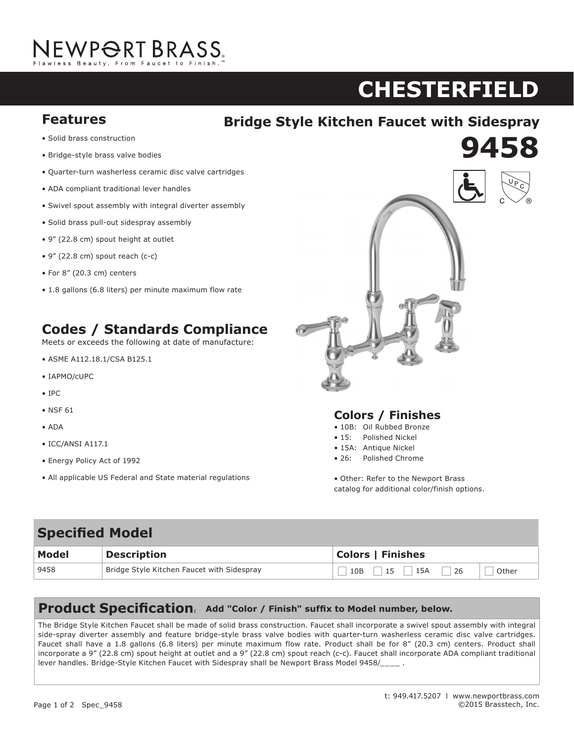# NEWP<del>O</del>RT BRASS.

### **chesterfield AST**

**9458 920**

## **Features The Style Kitchen Faucet with Sidespray**

- **•** Solid brass construction
- Bridge-style brass valve bodies
- Quarter-turn washerless ceramic disc valve cartridges
- ADA compliant traditional lever handles
- Swivel spout assembly with integral diverter assembly
- Solid brass pull-out sidespray assembly
- 9" (22.8 cm) spout height at outlet
- $\bullet$  9" (22.8 cm) spout reach (c-c)
- $\bullet$  For 8" (20.3 cm) centers
- 1.8 gallons (6.8 liters) per minute maximum flow rate

#### **Codes / Standards Compliance Codes / Standards Compliance Teets of the following and the following at a set of manufacture:**

Meets or exceeds the following at date of manufacture:

- $\bullet$  ASME A112.18.1/CSA B125.1
- $\bullet$  IAPMO/cUPC
- IPC
- NSF 61
- ADA
- ICC/ANSI A117.1  $\frac{1}{2}$
- $\bullet$  Energy Policy Act of 1992
- $\bullet$  All applicable US Federal and State material regulations



#### **Colors / Finishes**

- 10B: Oil Rubbed Bronze
- 15: Polished Nickel er 10 Bis 10B: Oil Rubberg Bronze
- 15A: Antique Nickel • 15: Polished Nickel
- 26: Polished Chrome

• Other: Refer to the Newport Brass catalog for additional color/finish options.

| <b>Specified Model</b> |                                            |                                 |
|------------------------|--------------------------------------------|---------------------------------|
| Model                  | <b>Description</b>                         | <b>Colors   Finishes</b>        |
| 9458                   | Bridge Style Kitchen Faucet with Sidespray | 15A<br>26<br>15<br>Other<br>10B |

### **Product Specification: Add "Color / Finish" suffix to Model number, below.**

The Bridge Style Kitchen Faucet shall be made of solid brass construction. Faucet shall incorporate a swivel spout assembly with integral side-spray diverter assembly and feature bridge-style brass valve bodies with quarter-turn washerless ceramic disc valve cartridges. side-spray diverter assembly and leature bridge-style brass valve bodies with quarter-turn washerless ceramic disc valve cartridges.<br>Faucet shall have a 1.8 gallons (6.8 liters) per minute maximum flow rate. Product shall incorporate a 9" (22.8 cm) spout height at outlet and a 9" (22.8 cm) spout reach (c-c). Faucet shall incorporate ADA compliant traditional lever handles. Bridge-Style Kitchen Faucet with Sidespray shall be Newport Brass Model 9458/\_\_\_\_\_ .

1.5 gallon (5.7 liter) per minute maximum flow rate. Product shall be for 8" (20.3 cm) centers - Maximum 20" (50.8 cm). Product shall incorporate a 1-7/16" (3.7 cm) spout height at outlet and a 5-5/8" (14.3 cm) spout reach (c-c). Faucet shall include a pop-up drain with